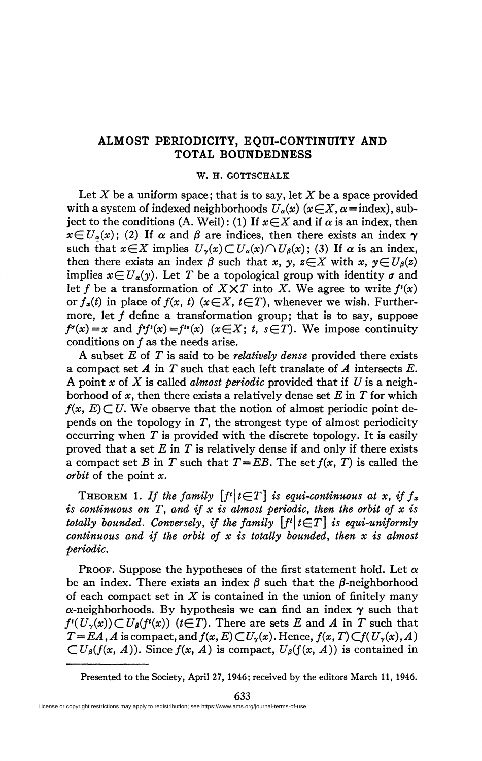## **ALMOST PERIODICITY, EQUI-CONTINUITY AND TOTAL BOUNDEDNESS**

## **W. H. GOTTSCHALK**

Let *X* be a uniform space; that is to say, let *X* be a space provided with a system of indexed neighborhoods  $U_a(x)$  ( $x \in X$ ,  $\alpha$ =index), subject to the conditions (A. Weil): (1) If  $x \in X$  and if  $\alpha$  is an index, then  $x \in U_{\alpha}(x)$ ; (2) If  $\alpha$  and  $\beta$  are indices, then there exists an index  $\gamma$ such that  $x \in X$  implies  $U_{\gamma}(x) \subset U_{\alpha}(x) \cap U_{\beta}(x)$ ; (3) If  $\alpha$  is an index, then there exists an index  $\beta$  such that x, y,  $z \in X$  with x,  $y \in U_{\beta}(z)$ implies  $x \in U_a(y)$ . Let T be a topological group with identity  $\sigma$  and let f be a transformation of  $X \times T$  into X. We agree to write  $f'(x)$ *or*  $f_{\boldsymbol{x}}(t)$  *in place of*  $f(x, t)$  *(* $x \in X$ *,*  $t \in T$ *), whenever we wish. Further*more, let  $f$  define a transformation group; that is to say, suppose  $f^{\sigma}(x) = x$  and  $f^{\sigma}(x) = f^{\tau}(x)$  ( $x \in X$ ;  $t, s \in T$ ). We impose continuity conditions on ƒ as the needs arise.

A subset *E* of *T* is said to be *relatively dense* provided there exists a compact set *A* in *T* such that each left translate of *A* intersects *E.*  A point *x* of *X* is called *almost periodic* provided that if *U* is a neighborhood of *x,* then there exists a relatively dense set *E* in *T* for which  $f(x, E) \subset U$ . We observe that the notion of almost periodic point depends on the topology in *T,* the strongest type of almost periodicity occurring when *T* is provided with the discrete topology. It is easily proved that a set *E* in *T* is relatively dense if and only if there exists a compact set *B* in *T* such that  $T = EB$ . The set  $f(x, T)$  is called the *orbit* of the point *x.* 

THEOREM 1. If the family  $\lceil f^{t} \rceil t \in T \rceil$  is equi-continuous at x, if  $f_x$ *is continuous on T, and if x is almost periodic, then the orbit of x is totally bounded. Conversely, if the family*  $\lceil f^t \rceil t \in T \rceil$  *is equi-uniformly continuous and if the orbit of x is totally bounded, then x is almost periodic.* 

PROOF. Suppose the hypotheses of the first statement hold. Let  $\alpha$ be an index. There exists an index  $\beta$  such that the  $\beta$ -neighborhood of each compact set in *X* is contained in the union of finitely many  $\alpha$ -neighborhoods. By hypothesis we can find an index  $\gamma$  such that  $f^{i}(U_{\gamma}(x)) \subset U_{\beta}(f^{i}(x))$  ( $t \in T$ ). There are sets *E* and *A* in *T* such that  $T = EA$ , *A* is compact, and  $f(x, E) \subset U_\gamma(x)$ . Hence,  $f(x, T) \subset f(U_\gamma(x), A)$  $\subset U_{\beta}(f(x, A))$ . Since  $f(x, A)$  is compact,  $U_{\beta}(f(x, A))$  is contained in

Presented to the Society, April 27, 1946; received by the editors March 11, 1946.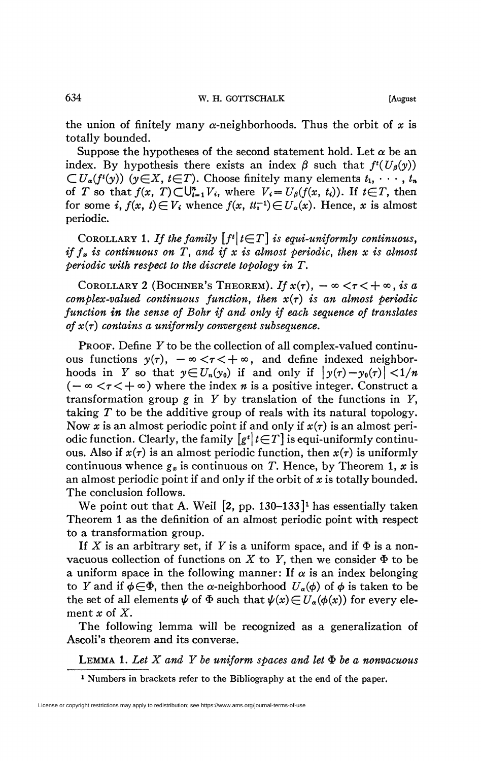the union of finitely many  $\alpha$ -neighborhoods. Thus the orbit of x is totally bounded.

Suppose the hypotheses of the second statement hold. Let  $\alpha$  be an index. By hypothesis there exists an index  $\beta$  such that  $f^{\ell}(U_{\beta}(y))$  $\subset U_{\alpha}(f^{t}(y))$  ( $y \in X, t \in T$ ). Choose finitely many elements  $t_{1}, \cdots, t_{n}$ of *T* so that  $f(x, T) \subset U_{i=1}^n V_i$ , where  $V_i = U_\beta(f(x, t_i))$ . If  $t \in T$ , then for some *i*,  $f(x, t) \in V_i$  whence  $f(x, t_i^{-1}) \in U_\alpha(x)$ . Hence, *x* is almost periodic.

COROLLARY 1. If the family  $[f^i]_t \in T$  *is equi-uniformly continuous, if*  $f<sub>x</sub>$  *is continuous on T, and if x is almost periodic, then x is almost periodic with respect to the discrete topology in T.* 

COROLLARY 2 (BOCHNER'S THEOREM). If  $x(\tau)$ ,  $-\infty < \tau < +\infty$ , is a *complex-valued continuous function, then x{r) is an almost periodic function in the sense of Bohr if and only if each sequence of translates*   $of x(\tau)$  contains a uniformly convergent subsequence.

PROOF. Define  $Y$  to be the collection of all complex-valued continuous functions  $y(\tau)$ ,  $-\infty < \tau < +\infty$ , and define indexed neighborhoods in Y so that  $y \in U_n(y_0)$  if and only if  $|y(\tau) - y_0(\tau)| < 1/n$  $(-\infty < \tau < +\infty)$  where the index *n* is a positive integer. Construct a transformation group  $g$  in  $Y$  by translation of the functions in  $Y$ , taking *T* to be the additive group of reals with its natural topology. Now x is an almost periodic point if and only if  $x(\tau)$  is an almost periodic function. Clearly, the family  $[g^t]_t \in T$  is equi-uniformly continuous. Also if  $x(\tau)$  is an almost periodic function, then  $x(\tau)$  is uniformly continuous whence  $g_x$  is continuous on T. Hence, by Theorem 1, x is an almost periodic point if and only if the orbit of *x* is totally bounded. The conclusion follows.

We point out that A. Weil [2, pp. 130-133*] l* has essentially taken Theorem 1 as the definition of an almost periodic point with respect to a transformation group.

If X is an arbitrary set, if Y is a uniform space, and if  $\Phi$  is a nonvacuous collection of functions on  $X$  to  $Y$ , then we consider  $\Phi$  to be a uniform space in the following manner: If  $\alpha$  is an index belonging to Y and if  $\phi \in \Phi$ , then the *α*-neighborhood  $U_a(\phi)$  of  $\phi$  is taken to be the set of all elements  $\psi$  of  $\Phi$  such that  $\psi(x) \in U_a(\phi(x))$  for every element *x* of *X.* 

The following lemma will be recognized as a generalization of Ascoli's theorem and its converse.

LEMMA 1. Let  $X$  and  $Y$  be uniform spaces and let  $\Phi$  be a nonvacuous

*1* Numbers in brackets refer to the Bibliography at the end of the paper.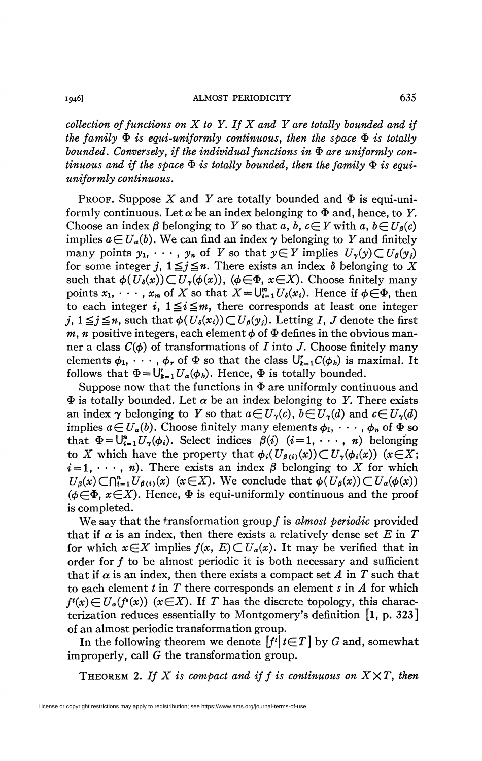*collection of functions on X to Y. If X and Y are totally bounded and if the family*  $\Phi$  *is equi-uniformly continuous, then the space*  $\Phi$  *is totally* bounded. Conversely, if the individual functions in  $\Phi$  are uniformly con $t$ *inuous and if the space*  $\Phi$  *is totally bounded, then the family*  $\Phi$  *is equiuniformly continuous.* 

PROOF. Suppose X and Y are totally bounded and  $\Phi$  is equi-uniformly continuous. Let  $\alpha$  be an index belonging to  $\Phi$  and, hence, to Y. Choose an index  $\beta$  belonging to Y so that a, b,  $c \in Y$  with a,  $b \in U_{\beta}(c)$ implies  $a \in U_a(b)$ . We can find an index  $\gamma$  belonging to Y and finitely many points  $y_1, \dots, y_n$  of *Y* so that  $y \in Y$  implies  $U_\gamma(y) \subset U_\beta(y_i)$ for some integer *j*,  $1 \leq j \leq n$ . There exists an index  $\delta$  belonging to X such that  $\phi(U_{\delta}(x))\subset U_{\gamma}(\phi(x))$ , ( $\phi \in \Phi$ ,  $x \in X$ ). Choose finitely many points  $x_1, \dots, x_m$  of X so that  $X = \bigcup_{i=1}^m U_i(x_i)$ . Hence if  $\phi \in \Phi$ , then to each integer *i*,  $1 \leq i \leq m$ , there corresponds at least one integer  $j, 1 \leq j \leq n$ , such that  $\phi(U_{\delta}(x_i)) \subset U_{\beta}(y_j)$ . Letting *I*, *J* denote the first *m, n* positive integers, each element  $\phi$  of  $\Phi$  defines in the obvious manner a class  $C(\phi)$  of transformations of I into J. Choose finitely many elements  $\phi_1, \cdots, \phi_r$  of  $\Phi$  so that the class  $\bigcup_{k=1}^r C(\phi_k)$  is maximal. It follows that  $\Phi = U_{k=1}^r U_{\alpha}(\phi_k)$ . Hence,  $\Phi$  is totally bounded.

Suppose now that the functions in  $\Phi$  are uniformly continuous and  $\Phi$  is totally bounded. Let  $\alpha$  be an index belonging to Y. There exists an index  $\gamma$  belonging to Y so that  $a \in U_{\gamma}(c)$ ,  $b \in U_{\gamma}(d)$  and  $c \in U_{\gamma}(d)$ implies  $a \in U_a(b)$ . Choose finitely many elements  $\phi_1, \cdots, \phi_n$  of  $\Phi$  so that  $\Phi = \bigcup_{i=1}^n U_\gamma(\phi_i)$ . Select indices  $\beta(i)$   $(i = 1, \dots, n)$  belonging to X which have the property that  $\phi_i(U_{\beta(i)}(x)) \subset U_{\gamma}(\phi_i(x))$  ( $x \in X$ ;  $i = 1, \dots, n$ . There exists an index  $\beta$  belonging to X for which  $U_{\beta}(x) \subset \bigcap_{i=1}^n U_{\beta(i)}(x)$  ( $x \in X$ ). We conclude that  $\phi(U_{\beta}(x)) \subset U_{\alpha}(\phi(x))$ ( $\phi \in \Phi$ ,  $x \in X$ ). Hence,  $\Phi$  is equi-uniformly continuous and the proof is completed.

We say that the transformation group ƒ is *almost periodic* provided that if  $\alpha$  is an index, then there exists a relatively dense set E in T for which  $x \in X$  implies  $f(x, E) \subset U_\alpha(x)$ . It may be verified that in order for f to be almost periodic it is both necessary and sufficient that if  $\alpha$  is an index, then there exists a compact set A in T such that to each element *tin T* there corresponds an element *s* in *A* for which  $f^{\prime}(x) \in U_{\alpha}(f^{\prime}(x))$  ( $x \in X$ ). If *T* has the discrete topology, this characterization reduces essentially to Montgomery's definition  $\vert 1, p. 323 \vert$ of an almost periodic transformation group.

In the following theorem we denote  $[f^t | t \in T]$  by G and, somewhat improperly, call *G* the transformation group.

THEOREM 2. If  $X$  is compact and if  $f$  is continuous on  $X \times T$ , then